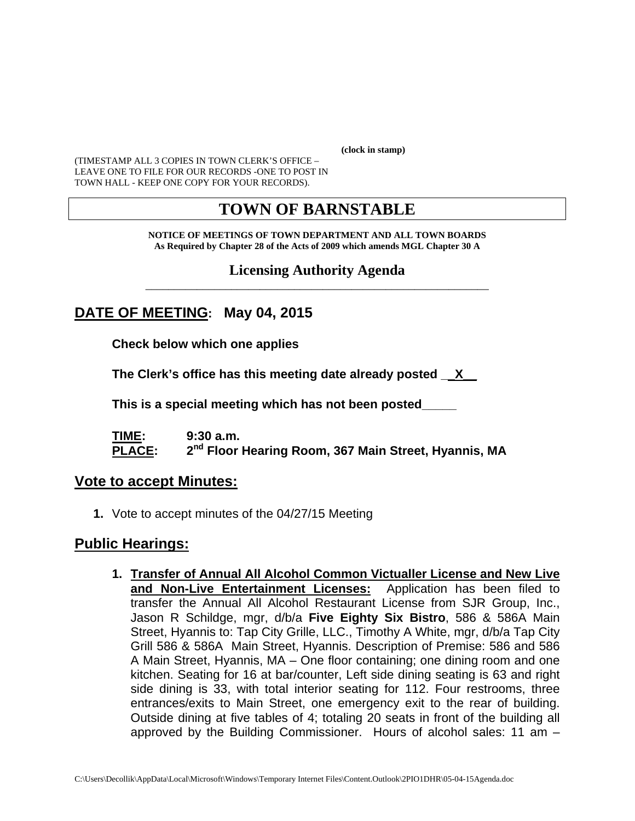**(clock in stamp)** 

(TIMESTAMP ALL 3 COPIES IN TOWN CLERK'S OFFICE – LEAVE ONE TO FILE FOR OUR RECORDS -ONE TO POST IN TOWN HALL - KEEP ONE COPY FOR YOUR RECORDS).

# **TOWN OF BARNSTABLE**

**NOTICE OF MEETINGS OF TOWN DEPARTMENT AND ALL TOWN BOARDS As Required by Chapter 28 of the Acts of 2009 which amends MGL Chapter 30 A** 

#### **Licensing Authority Agenda** \_\_\_\_\_\_\_\_\_\_\_\_\_\_\_\_\_\_\_\_\_\_\_\_\_\_\_\_\_\_\_\_\_\_\_\_\_\_\_\_\_\_\_\_\_\_\_\_\_\_\_\_\_\_\_\_\_\_\_\_

## **DATE OF MEETING: May 04, 2015**

**Check below which one applies** 

**The Clerk's office has this meeting date already posted \_\_X\_\_** 

 **This is a special meeting which has not been posted\_\_\_\_\_** 

**TIME: 9:30 a.m. PLACE: 2nd Floor Hearing Room, 367 Main Street, Hyannis, MA**

#### **Vote to accept Minutes:**

**1.** Vote to accept minutes of the 04/27/15 Meeting

### **Public Hearings:**

**1. Transfer of Annual All Alcohol Common Victualler License and New Live and Non-Live Entertainment Licenses:** Application has been filed to transfer the Annual All Alcohol Restaurant License from SJR Group, Inc., Jason R Schildge, mgr, d/b/a **Five Eighty Six Bistro**, 586 & 586A Main Street, Hyannis to: Tap City Grille, LLC., Timothy A White, mgr, d/b/a Tap City Grill 586 & 586A Main Street, Hyannis. Description of Premise: 586 and 586 A Main Street, Hyannis, MA – One floor containing; one dining room and one kitchen. Seating for 16 at bar/counter, Left side dining seating is 63 and right side dining is 33, with total interior seating for 112. Four restrooms, three entrances/exits to Main Street, one emergency exit to the rear of building. Outside dining at five tables of 4; totaling 20 seats in front of the building all approved by the Building Commissioner. Hours of alcohol sales: 11 am –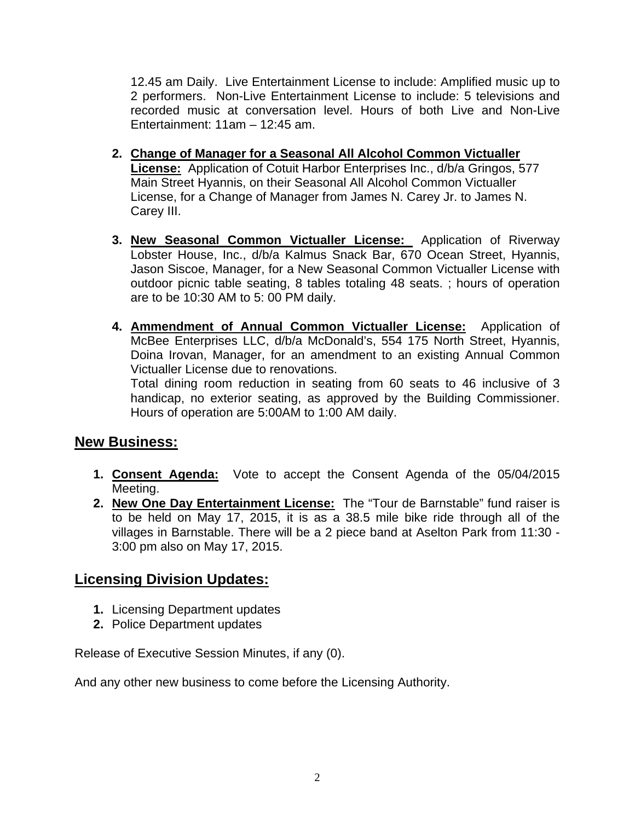12.45 am Daily. Live Entertainment License to include: Amplified music up to 2 performers. Non-Live Entertainment License to include: 5 televisions and recorded music at conversation level. Hours of both Live and Non-Live Entertainment: 11am – 12:45 am.

- **2. Change of Manager for a Seasonal All Alcohol Common Victualler License:** Application of Cotuit Harbor Enterprises Inc., d/b/a Gringos, 577 Main Street Hyannis, on their Seasonal All Alcohol Common Victualler License, for a Change of Manager from James N. Carey Jr. to James N. Carey III.
- **3. New Seasonal Common Victualler License:** Application of Riverway Lobster House, Inc., d/b/a Kalmus Snack Bar, 670 Ocean Street, Hyannis, Jason Siscoe, Manager, for a New Seasonal Common Victualler License with outdoor picnic table seating, 8 tables totaling 48 seats. ; hours of operation are to be 10:30 AM to 5: 00 PM daily.
- **4. Ammendment of Annual Common Victualler License:** Application of McBee Enterprises LLC, d/b/a McDonald's, 554 175 North Street, Hyannis, Doina Irovan, Manager, for an amendment to an existing Annual Common Victualler License due to renovations. Total dining room reduction in seating from 60 seats to 46 inclusive of 3

handicap, no exterior seating, as approved by the Building Commissioner. Hours of operation are 5:00AM to 1:00 AM daily.

## **New Business:**

- **1. Consent Agenda:** Vote to accept the Consent Agenda of the 05/04/2015 Meeting.
- **2. New One Day Entertainment License:** The "Tour de Barnstable" fund raiser is to be held on May 17, 2015, it is as a 38.5 mile bike ride through all of the villages in Barnstable. There will be a 2 piece band at Aselton Park from 11:30 - 3:00 pm also on May 17, 2015.

## **Licensing Division Updates:**

- **1.** Licensing Department updates
- **2.** Police Department updates

Release of Executive Session Minutes, if any (0).

And any other new business to come before the Licensing Authority.